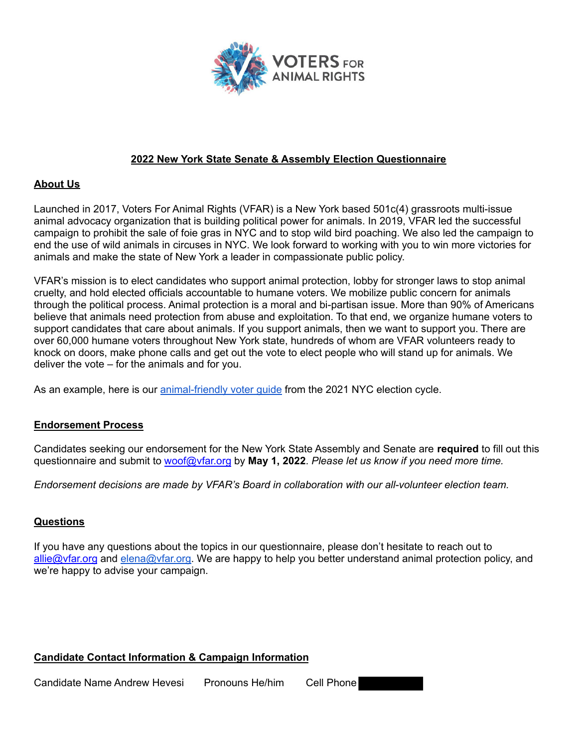

### **2022 New York State Senate & Assembly Election Questionnaire**

#### **About Us**

Launched in 2017, Voters For Animal Rights (VFAR) is a New York based 501c(4) grassroots multi-issue animal advocacy organization that is building political power for animals. In 2019, VFAR led the successful campaign to prohibit the sale of foie gras in NYC and to stop wild bird poaching. We also led the campaign to end the use of wild animals in circuses in NYC. We look forward to working with you to win more victories for animals and make the state of New York a leader in compassionate public policy.

VFAR's mission is to elect candidates who support animal protection, lobby for stronger laws to stop animal cruelty, and hold elected officials accountable to humane voters. We mobilize public concern for animals through the political process. Animal protection is a moral and bi-partisan issue. More than 90% of Americans believe that animals need protection from abuse and exploitation. To that end, we organize humane voters to support candidates that care about animals. If you support animals, then we want to support you. There are over 60,000 humane voters throughout New York state, hundreds of whom are VFAR volunteers ready to knock on doors, make phone calls and get out the vote to elect people who will stand up for animals. We deliver the vote – for the animals and for you.

As an example, here is our animal-friendly voter quide from the 2021 NYC election cycle.

#### **Endorsement Process**

Candidates seeking our endorsement for the New York State Assembly and Senate are **required** to fill out this questionnaire and submit to woof@vfar.org by **May 1, 2022**. *Please let us know if you need more time.*

*Endorsement decisions are made by VFAR's Board in collaboration with our all-volunteer election team.*

### **Questions**

If you have any questions about the topics in our questionnaire, please don't hesitate to reach out to allie@vfar.org and elena@vfar.org. We are happy to help you better understand animal protection policy, and we're happy to advise your campaign.

### **Candidate Contact Information & Campaign Information**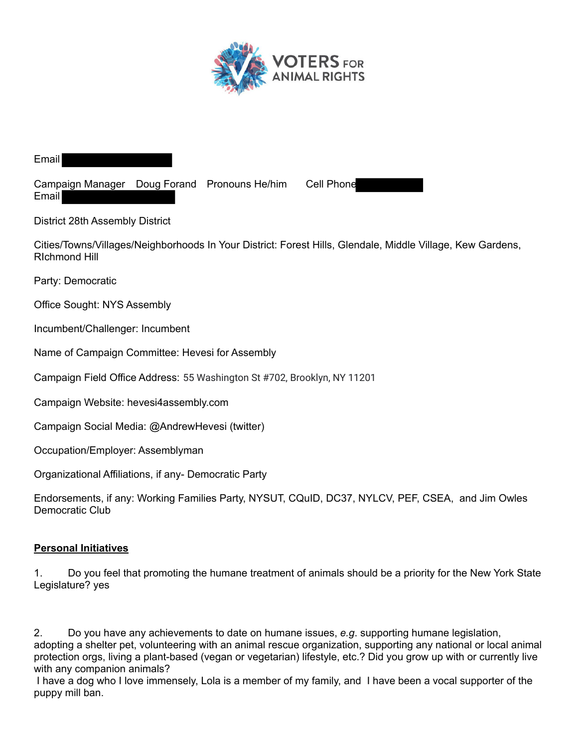

Email

Campaign Manager Doug Forand Pronouns He/him Cell Phone Email

District 28th Assembly District

Cities/Towns/Villages/Neighborhoods In Your District: Forest Hills, Glendale, Middle Village, Kew Gardens, RIchmond Hill

Party: Democratic

Office Sought: NYS Assembly

Incumbent/Challenger: Incumbent

Name of Campaign Committee: Hevesi for Assembly

Campaign Field Office Address: 55 Washington St #702, Brooklyn, NY 11201

Campaign Website: hevesi4assembly.com

Campaign Social Media: @AndrewHevesi (twitter)

Occupation/Employer: Assemblyman

Organizational Affiliations, if any- Democratic Party

Endorsements, if any: Working Families Party, NYSUT, CQuID, DC37, NYLCV, PEF, CSEA, and Jim Owles Democratic Club

### **Personal Initiatives**

1. Do you feel that promoting the humane treatment of animals should be a priority for the New York State Legislature? yes

2. Do you have any achievements to date on humane issues, *e.g*. supporting humane legislation, adopting a shelter pet, volunteering with an animal rescue organization, supporting any national or local animal protection orgs, living a plant-based (vegan or vegetarian) lifestyle, etc.? Did you grow up with or currently live with any companion animals?

I have a dog who I love immensely, Lola is a member of my family, and I have been a vocal supporter of the puppy mill ban.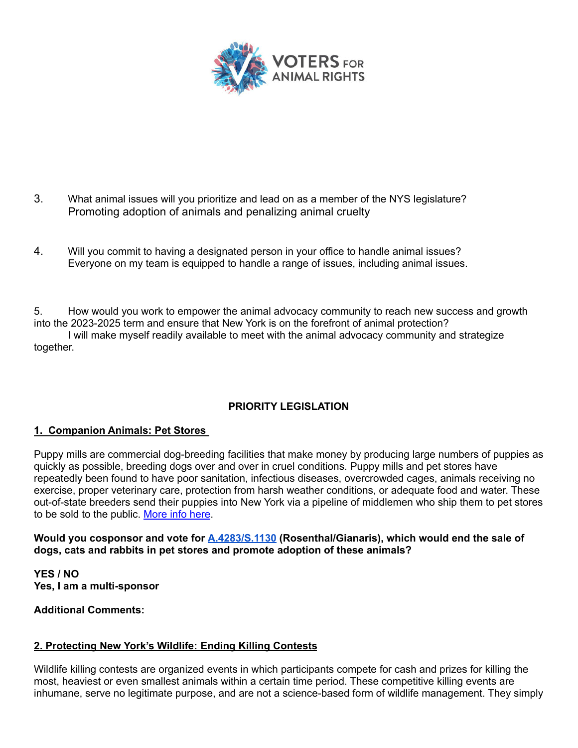

- 3. What animal issues will you prioritize and lead on as a member of the NYS legislature? Promoting adoption of animals and penalizing animal cruelty
- 4. Will you commit to having a designated person in your office to handle animal issues? Everyone on my team is equipped to handle a range of issues, including animal issues.

5. How would you work to empower the animal advocacy community to reach new success and growth into the 2023-2025 term and ensure that New York is on the forefront of animal protection?

I will make myself readily available to meet with the animal advocacy community and strategize together.

# **PRIORITY LEGISLATION**

### **1. Companion Animals: Pet Stores**

Puppy mills are commercial dog-breeding facilities that make money by producing large numbers of puppies as quickly as possible, breeding dogs over and over in cruel conditions. Puppy mills and pet stores have repeatedly been found to have poor sanitation, infectious diseases, overcrowded cages, animals receiving no exercise, proper veterinary care, protection from harsh weather conditions, or adequate food and water. These out-of-state breeders send their puppies into New York via a pipeline of middlemen who ship them to pet stores to be sold to the public. More info here.

### **Would you cosponsor and vote for A.4283/S.1130 (Rosenthal/Gianaris), which would end the sale of dogs, cats and rabbits in pet stores and promote adoption of these animals?**

**YES / NO Yes, I am a multi-sponsor**

### **Additional Comments:**

# **2. Protecting New York's Wildlife: Ending Killing Contests**

Wildlife killing contests are organized events in which participants compete for cash and prizes for killing the most, heaviest or even smallest animals within a certain time period. These competitive killing events are inhumane, serve no legitimate purpose, and are not a science-based form of wildlife management. They simply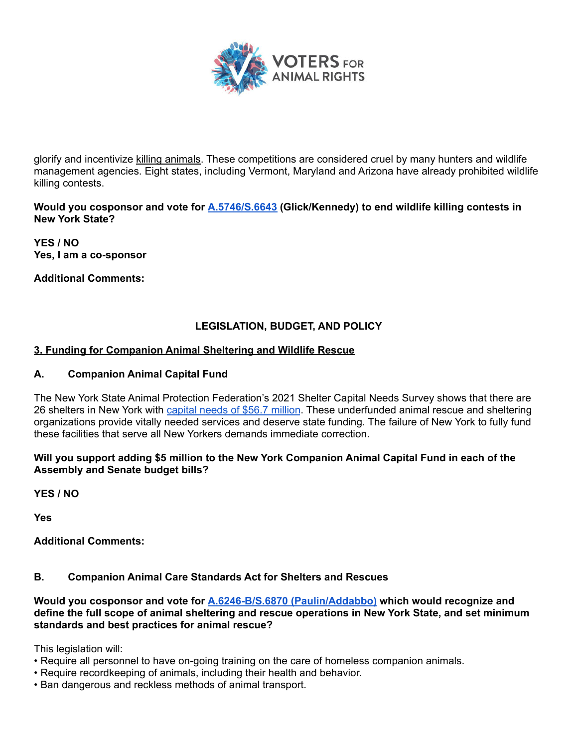

glorify and incentivize killing animals. These competitions are considered cruel by many hunters and wildlife management agencies. Eight states, including Vermont, Maryland and Arizona have already prohibited wildlife killing contests.

**Would you cosponsor and vote for A.5746/S.6643 (Glick/Kennedy) to end wildlife killing contests in New York State?**

**YES / NO Yes, I am a co-sponsor**

**Additional Comments:**

# **LEGISLATION, BUDGET, AND POLICY**

## **3. Funding for Companion Animal Sheltering and Wildlife Rescue**

## **A. Companion Animal Capital Fund**

The New York State Animal Protection Federation's 2021 Shelter Capital Needs Survey shows that there are 26 shelters in New York with capital needs of \$56.7 million. These underfunded animal rescue and sheltering organizations provide vitally needed services and deserve state funding. The failure of New York to fully fund these facilities that serve all New Yorkers demands immediate correction.

### **Will you support adding \$5 million to the New York Companion Animal Capital Fund in each of the Assembly and Senate budget bills?**

**YES / NO**

**Yes**

**Additional Comments:**

### **B. Companion Animal Care Standards Act for Shelters and Rescues**

**Would you cosponsor and vote for A.6246-B/S.6870 (Paulin/Addabbo) which would recognize and define the full scope of animal sheltering and rescue operations in New York State, and set minimum standards and best practices for animal rescue?**

This legislation will:

- Require all personnel to have on-going training on the care of homeless companion animals.
- Require recordkeeping of animals, including their health and behavior.
- Ban dangerous and reckless methods of animal transport.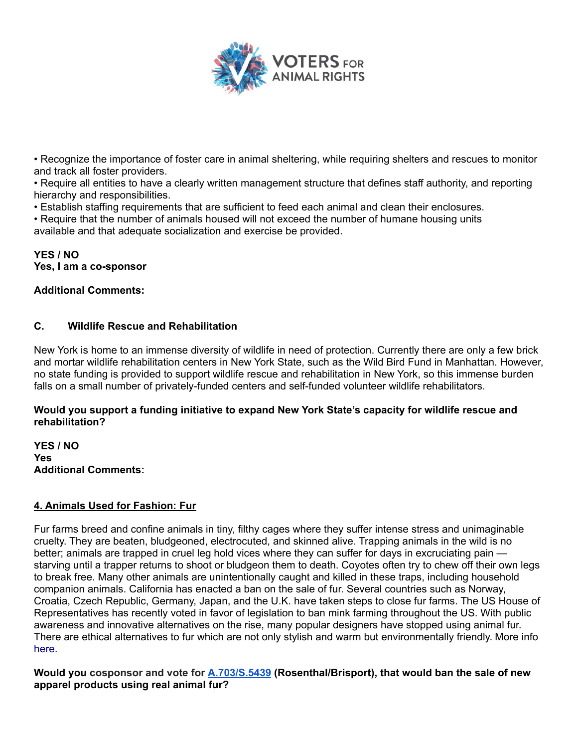

• Recognize the importance of foster care in animal sheltering, while requiring shelters and rescues to monitor and track all foster providers.

• Require all entities to have a clearly written management structure that defines staff authority, and reporting hierarchy and responsibilities.

• Establish staffing requirements that are sufficient to feed each animal and clean their enclosures.

• Require that the number of animals housed will not exceed the number of humane housing units available and that adequate socialization and exercise be provided.

#### **YES / NO Yes, I am a co-sponsor**

## **Additional Comments:**

## **C. Wildlife Rescue and Rehabilitation**

New York is home to an immense diversity of wildlife in need of protection. Currently there are only a few brick and mortar wildlife rehabilitation centers in New York State, such as the Wild Bird Fund in Manhattan. However, no state funding is provided to support wildlife rescue and rehabilitation in New York, so this immense burden falls on a small number of privately-funded centers and self-funded volunteer wildlife rehabilitators.

### **Would you support a funding initiative to expand New York State's capacity for wildlife rescue and rehabilitation?**

**YES / NO Yes Additional Comments:**

### **4. Animals Used for Fashion: Fur**

Fur farms breed and confine animals in tiny, filthy cages where they suffer intense stress and unimaginable cruelty. They are beaten, bludgeoned, electrocuted, and skinned alive. Trapping animals in the wild is no better; animals are trapped in cruel leg hold vices where they can suffer for days in excruciating pain starving until a trapper returns to shoot or bludgeon them to death. Coyotes often try to chew off their own legs to break free. Many other animals are unintentionally caught and killed in these traps, including household companion animals. California has enacted a ban on the sale of fur. Several countries such as Norway, Croatia, Czech Republic, Germany, Japan, and the U.K. have taken steps to close fur farms. The US House of Representatives has recently voted in favor of legislation to ban mink farming throughout the US. With public awareness and innovative alternatives on the rise, many popular designers have stopped using animal fur. There are ethical alternatives to fur which are not only stylish and warm but environmentally friendly. More info here.

**Would you cosponsor and vote for A.703/S.5439 (Rosenthal/Brisport), that would ban the sale of new apparel products using real animal fur?**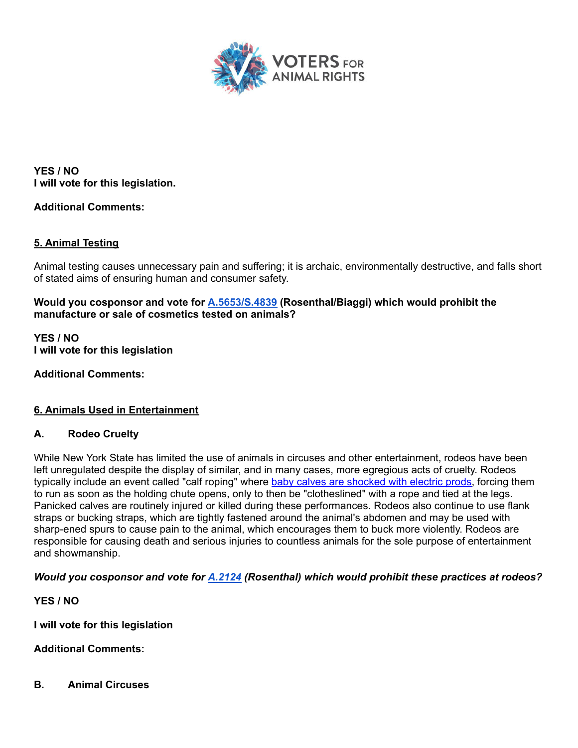

**YES / NO I will vote for this legislation.**

## **Additional Comments:**

### **5. Animal Testing**

Animal testing causes unnecessary pain and suffering; it is archaic, environmentally destructive, and falls short of stated aims of ensuring human and consumer safety.

**Would you cosponsor and vote for A.5653/S.4839 (Rosenthal/Biaggi) which would prohibit the manufacture or sale of cosmetics tested on animals?**

**YES / NO I will vote for this legislation**

**Additional Comments:**

### **6. Animals Used in Entertainment**

### **A. Rodeo Cruelty**

While New York State has limited the use of animals in circuses and other entertainment, rodeos have been left unregulated despite the display of similar, and in many cases, more egregious acts of cruelty. Rodeos typically include an event called "calf roping" where baby calves are shocked with electric prods, forcing them to run as soon as the holding chute opens, only to then be "clotheslined" with a rope and tied at the legs. Panicked calves are routinely injured or killed during these performances. Rodeos also continue to use flank straps or bucking straps, which are tightly fastened around the animal's abdomen and may be used with sharp-ened spurs to cause pain to the animal, which encourages them to buck more violently. Rodeos are responsible for causing death and serious injuries to countless animals for the sole purpose of entertainment and showmanship.

*Would you cosponsor and vote for A.2124 (Rosenthal) which would prohibit these practices at rodeos?*

**YES / NO**

**I will vote for this legislation**

**Additional Comments:**

**B. Animal Circuses**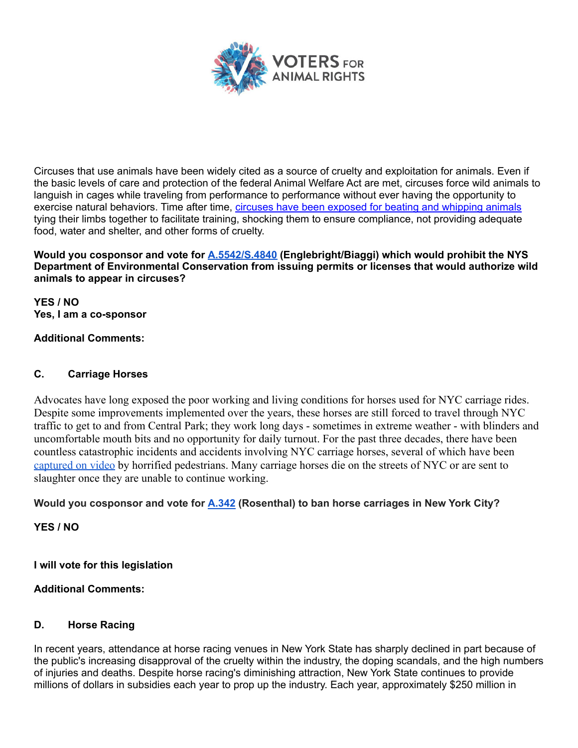

Circuses that use animals have been widely cited as a source of cruelty and exploitation for animals. Even if the basic levels of care and protection of the federal Animal Welfare Act are met, circuses force wild animals to languish in cages while traveling from performance to performance without ever having the opportunity to exercise natural behaviors. Time after time, circuses have been exposed for beating and whipping animals tying their limbs together to facilitate training, shocking them to ensure compliance, not providing adequate food, water and shelter, and other forms of cruelty.

**Would you cosponsor and vote for A.5542/S.4840 (Englebright/Biaggi) which would prohibit the NYS Department of Environmental Conservation from issuing permits or licenses that would authorize wild animals to appear in circuses?**

**YES / NO Yes, I am a co-sponsor**

# **Additional Comments:**

# **C. Carriage Horses**

Advocates have long exposed the poor working and living conditions for horses used for NYC carriage rides. Despite some improvements implemented over the years, these horses are still forced to travel through NYC traffic to get to and from Central Park; they work long days - sometimes in extreme weather - with blinders and uncomfortable mouth bits and no opportunity for daily turnout. For the past three decades, there have been countless catastrophic incidents and accidents involving NYC carriage horses, several of which have been captured on video by horrified pedestrians. Many carriage horses die on the streets of NYC or are sent to slaughter once they are unable to continue working.

# **Would you cosponsor and vote for A.342 (Rosenthal) to ban horse carriages in New York City?**

**YES / NO**

**I will vote for this legislation**

### **Additional Comments:**

# **D. Horse Racing**

In recent years, attendance at horse racing venues in New York State has sharply declined in part because of the public's increasing disapproval of the cruelty within the industry, the doping scandals, and the high numbers of injuries and deaths. Despite horse racing's diminishing attraction, New York State continues to provide millions of dollars in subsidies each year to prop up the industry. Each year, approximately \$250 million in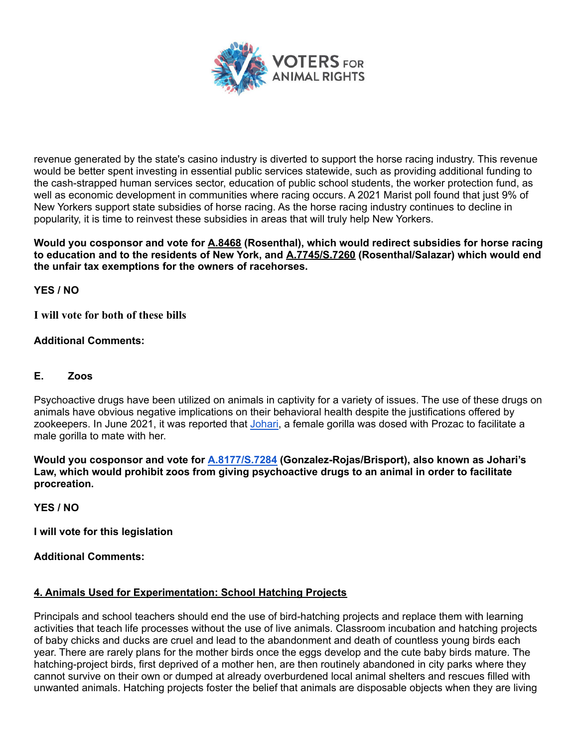

revenue generated by the state's casino industry is diverted to support the horse racing industry. This revenue would be better spent investing in essential public services statewide, such as providing additional funding to the cash-strapped human services sector, education of public school students, the worker protection fund, as well as economic development in communities where racing occurs. A 2021 Marist poll found that just 9% of New Yorkers support state subsidies of horse racing. As the horse racing industry continues to decline in popularity, it is time to reinvest these subsidies in areas that will truly help New Yorkers.

**Would you cosponsor and vote for A.8468 (Rosenthal), which would redirect subsidies for horse racing to education and to the residents of New York, and A.7745/S.7260 (Rosenthal/Salazar) which would end the unfair tax exemptions for the owners of racehorses.**

**YES / NO**

**I will vote for both of these bills**

# **Additional Comments:**

## **E. Zoos**

Psychoactive drugs have been utilized on animals in captivity for a variety of issues. The use of these drugs on animals have obvious negative implications on their behavioral health despite the justifications offered by zookeepers. In June 2021, it was reported that Johari, a female gorilla was dosed with Prozac to facilitate a male gorilla to mate with her.

**Would you cosponsor and vote for A.8177/S.7284 (Gonzalez-Rojas/Brisport), also known as Johari's Law, which would prohibit zoos from giving psychoactive drugs to an animal in order to facilitate procreation.**

**YES / NO**

**I will vote for this legislation**

**Additional Comments:**

### **4. Animals Used for Experimentation: School Hatching Projects**

Principals and school teachers should end the use of bird-hatching projects and replace them with learning activities that teach life processes without the use of live animals. Classroom incubation and hatching projects of baby chicks and ducks are cruel and lead to the abandonment and death of countless young birds each year. There are rarely plans for the mother birds once the eggs develop and the cute baby birds mature. The hatching-project birds, first deprived of a mother hen, are then routinely abandoned in city parks where they cannot survive on their own or dumped at already overburdened local animal shelters and rescues filled with unwanted animals. Hatching projects foster the belief that animals are disposable objects when they are living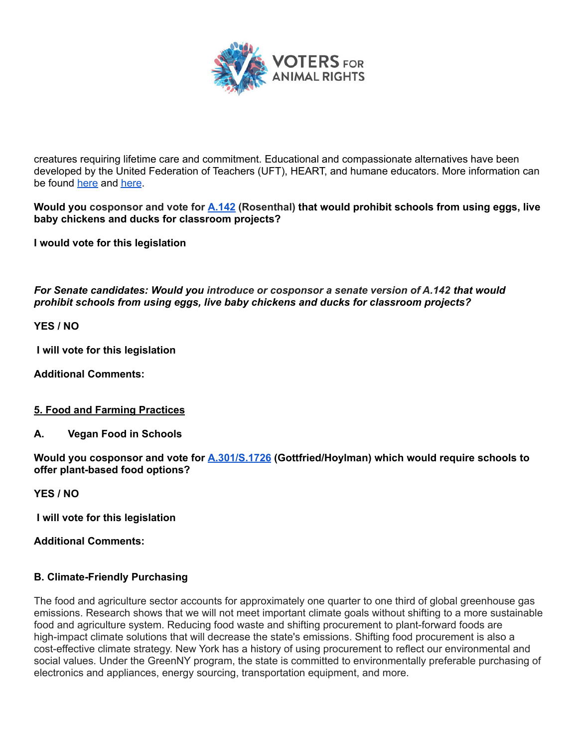

creatures requiring lifetime care and commitment. Educational and compassionate alternatives have been developed by the United Federation of Teachers (UFT), HEART, and humane educators. More information can be found here and here.

**Would you cosponsor and vote for A.142 (Rosenthal) that would prohibit schools from using eggs, live baby chickens and ducks for classroom projects?**

**I would vote for this legislation**

*For Senate candidates: Would you introduce or cosponsor a senate version of A.142 that would prohibit schools from using eggs, live baby chickens and ducks for classroom projects?*

**YES / NO**

**I will vote for this legislation**

**Additional Comments:**

#### **5. Food and Farming Practices**

**A. Vegan Food in Schools**

**Would you cosponsor and vote for A.301/S.1726 (Gottfried/Hoylman) which would require schools to offer plant-based food options?**

**YES / NO**

**I will vote for this legislation**

**Additional Comments:**

### **B. Climate-Friendly Purchasing**

The food and agriculture sector accounts for approximately one quarter to one third of global greenhouse gas emissions. Research shows that we will not meet important climate goals without shifting to a more sustainable food and agriculture system. Reducing food waste and shifting procurement to plant-forward foods are high-impact climate solutions that will decrease the state's emissions. Shifting food procurement is also a cost-effective climate strategy. New York has a history of using procurement to reflect our environmental and social values. Under the GreenNY program, the state is committed to environmentally preferable purchasing of electronics and appliances, energy sourcing, transportation equipment, and more.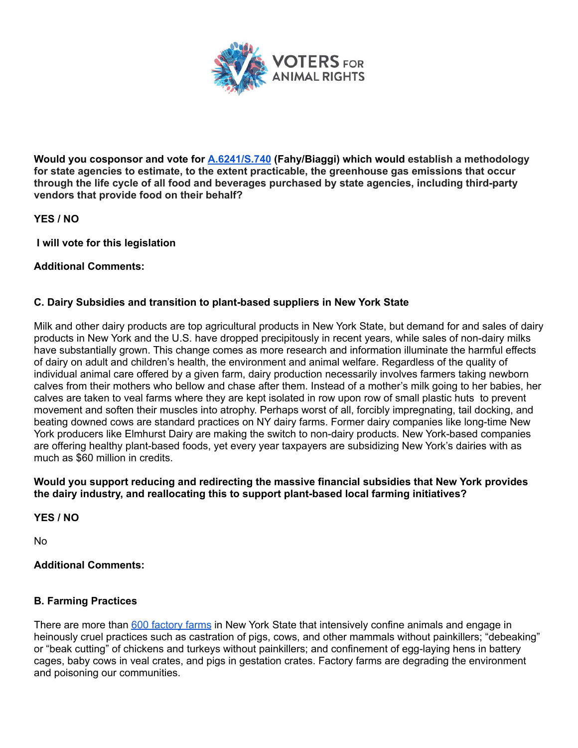

**Would you cosponsor and vote for A.6241/S.740 (Fahy/Biaggi) which would establish a methodology for state agencies to estimate, to the extent practicable, the greenhouse gas emissions that occur through the life cycle of all food and beverages purchased by state agencies, including third-party vendors that provide food on their behalf?**

**YES / NO**

**I will vote for this legislation**

### **Additional Comments:**

## **C. Dairy Subsidies and transition to plant-based suppliers in New York State**

Milk and other dairy products are top agricultural products in New York State, but demand for and sales of dairy products in New York and the U.S. have dropped precipitously in recent years, while sales of non-dairy milks have substantially grown. This change comes as more research and information illuminate the harmful effects of dairy on adult and children's health, the environment and animal welfare. Regardless of the quality of individual animal care offered by a given farm, dairy production necessarily involves farmers taking newborn calves from their mothers who bellow and chase after them. Instead of a mother's milk going to her babies, her calves are taken to veal farms where they are kept isolated in row upon row of small plastic huts to prevent movement and soften their muscles into atrophy. Perhaps worst of all, forcibly impregnating, tail docking, and beating downed cows are standard practices on NY dairy farms. Former dairy companies like long-time New York producers like Elmhurst Dairy are making the switch to non-dairy products. New York-based companies are offering healthy plant-based foods, yet every year taxpayers are subsidizing New York's dairies with as much as \$60 million in credits.

#### **Would you support reducing and redirecting the massive financial subsidies that New York provides the dairy industry, and reallocating this to support plant-based local farming initiatives?**

**YES / NO**

No

### **Additional Comments:**

### **B. Farming Practices**

There are more than 600 factory farms in New York State that intensively confine animals and engage in heinously cruel practices such as castration of pigs, cows, and other mammals without painkillers; "debeaking" or "beak cutting" of chickens and turkeys without painkillers; and confinement of egg-laying hens in battery cages, baby cows in veal crates, and pigs in gestation crates. Factory farms are degrading the environment and poisoning our communities.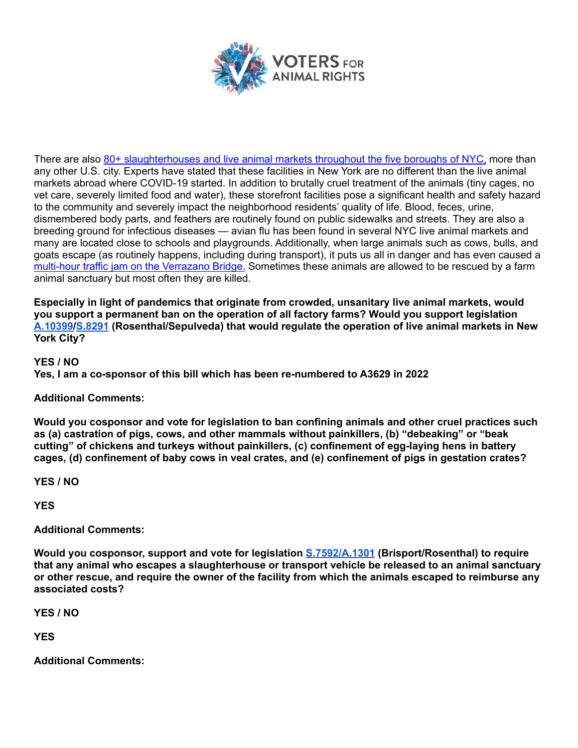

There are also 80+ slaughterhouses and live animal markets throughout the five boroughs of NYC, more than any other U.S. city. Experts have stated that these facilities in New York are no different than the live animal markets abroad where COVID-19 started. In addition to brutally cruel treatment of the animals (tiny cages, no vet care, severely limited food and water), these storefront facilities pose a significant health and safety hazard to the community and severely impact the neighborhood residents' quality of life. Blood, feces, urine, dismembered body parts, and feathers are routinely found on public sidewalks and streets. They are also a breeding ground for infectious diseases — avian flu has been found in several NYC live animal markets and many are located close to schools and playgrounds. Additionally, when large animals such as cows, bulls, and goats escape (as routinely happens, including during transport), it puts us all in danger and has even caused a multi-hour traffic jam on the Verrazano Bridge. Sometimes these animals are allowed to be rescued by a farm animal sanctuary but most often they are killed.

**Especially in light of pandemics that originate from crowded, unsanitary live animal markets, would you support a permanent ban on the operation of all factory farms? Would you support legislation A.10399/S.8291 (Rosenthal/Sepulveda) that would regulate the operation of live animal markets in New York City?**

**YES / NO Yes, I am a co-sponsor of this bill which has been re-numbered to A3629 in 2022**

# **Additional Comments:**

**Would you cosponsor and vote for legislation to ban confining animals and other cruel practices such as (a) castration of pigs, cows, and other mammals without painkillers, (b) "debeaking" or "beak cutting" of chickens and turkeys without painkillers, (c) confinement of egg-laying hens in battery cages, (d) confinement of baby cows in veal crates, and (e) confinement of pigs in gestation crates?**

**YES / NO**

**YES**

**Additional Comments:**

**Would you cosponsor, support and vote for legislation S.7592/A.1301 (Brisport/Rosenthal) to require that any animal who escapes a slaughterhouse or transport vehicle be released to an animal sanctuary or other rescue, and require the owner of the facility from which the animals escaped to reimburse any associated costs?**

**YES / NO**

**YES**

**Additional Comments:**